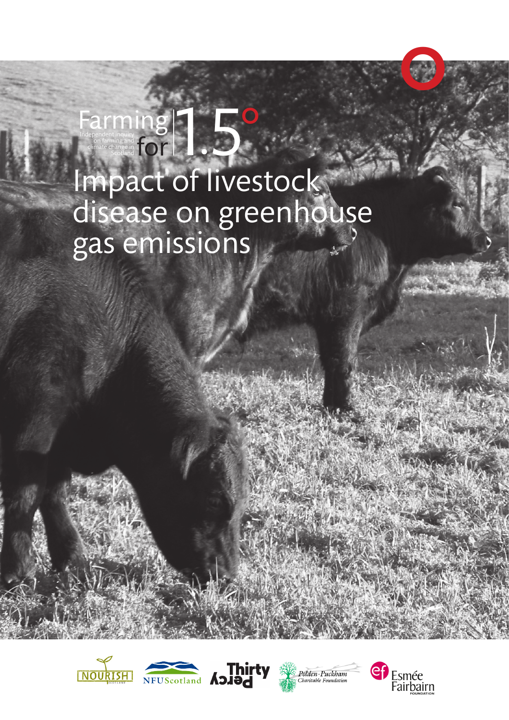# Farming 18

# Impact of livestock gas emissions









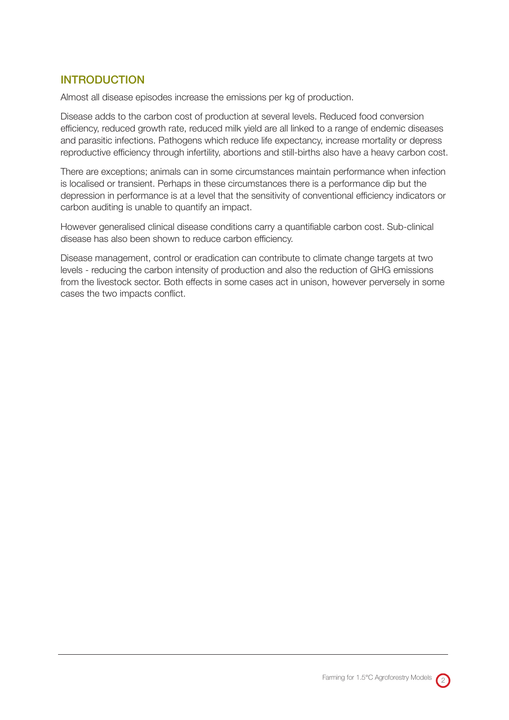# INTRODUCTION

Almost all disease episodes increase the emissions per kg of production.

Disease adds to the carbon cost of production at several levels. Reduced food conversion efficiency, reduced growth rate, reduced milk yield are all linked to a range of endemic diseases and parasitic infections. Pathogens which reduce life expectancy, increase mortality or depress reproductive efficiency through infertility, abortions and still-births also have a heavy carbon cost.

There are exceptions; animals can in some circumstances maintain performance when infection is localised or transient. Perhaps in these circumstances there is a performance dip but the depression in performance is at a level that the sensitivity of conventional efficiency indicators or carbon auditing is unable to quantify an impact.

However generalised clinical disease conditions carry a quantifiable carbon cost. Sub-clinical disease has also been shown to reduce carbon efficiency.

Disease management, control or eradication can contribute to climate change targets at two levels - reducing the carbon intensity of production and also the reduction of GHG emissions from the livestock sector. Both effects in some cases act in unison, however perversely in some cases the two impacts conflict.

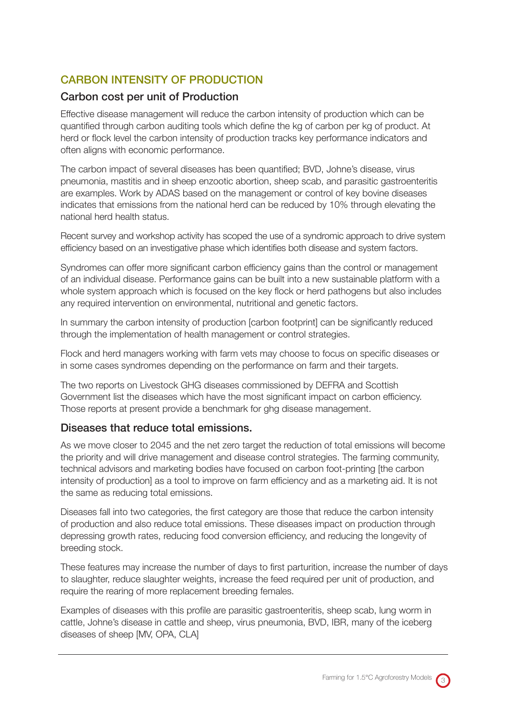# CARBON INTENSITY OF PRODUCTION

# Carbon cost per unit of Production

Effective disease management will reduce the carbon intensity of production which can be quantified through carbon auditing tools which define the kg of carbon per kg of product. At herd or flock level the carbon intensity of production tracks key performance indicators and often aligns with economic performance.

The carbon impact of several diseases has been quantified; BVD, Johne's disease, virus pneumonia, mastitis and in sheep enzootic abortion, sheep scab, and parasitic gastroenteritis are examples. Work by ADAS based on the management or control of key bovine diseases indicates that emissions from the national herd can be reduced by 10% through elevating the national herd health status.

Recent survey and workshop activity has scoped the use of a syndromic approach to drive system efficiency based on an investigative phase which identifies both disease and system factors.

Syndromes can offer more significant carbon efficiency gains than the control or management of an individual disease. Performance gains can be built into a new sustainable platform with a whole system approach which is focused on the key flock or herd pathogens but also includes any required intervention on environmental, nutritional and genetic factors.

In summary the carbon intensity of production [carbon footprint] can be significantly reduced through the implementation of health management or control strategies.

Flock and herd managers working with farm vets may choose to focus on specific diseases or in some cases syndromes depending on the performance on farm and their targets.

The two reports on Livestock GHG diseases commissioned by DEFRA and Scottish Government list the diseases which have the most significant impact on carbon efficiency. Those reports at present provide a benchmark for ghg disease management.

### Diseases that reduce total emissions.

As we move closer to 2045 and the net zero target the reduction of total emissions will become the priority and will drive management and disease control strategies. The farming community, technical advisors and marketing bodies have focused on carbon foot-printing [the carbon intensity of production] as a tool to improve on farm efficiency and as a marketing aid. It is not the same as reducing total emissions.

Diseases fall into two categories, the first category are those that reduce the carbon intensity of production and also reduce total emissions. These diseases impact on production through depressing growth rates, reducing food conversion efficiency, and reducing the longevity of breeding stock.

These features may increase the number of days to first parturition, increase the number of days to slaughter, reduce slaughter weights, increase the feed required per unit of production, and require the rearing of more replacement breeding females.

Examples of diseases with this profile are parasitic gastroenteritis, sheep scab, lung worm in cattle, Johne's disease in cattle and sheep, virus pneumonia, BVD, IBR, many of the iceberg diseases of sheep [MV, OPA, CLA]

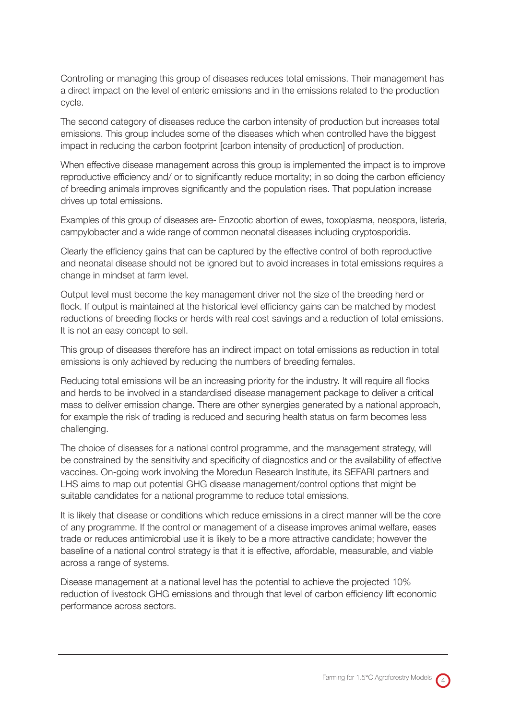Controlling or managing this group of diseases reduces total emissions. Their management has a direct impact on the level of enteric emissions and in the emissions related to the production cycle.

The second category of diseases reduce the carbon intensity of production but increases total emissions. This group includes some of the diseases which when controlled have the biggest impact in reducing the carbon footprint [carbon intensity of production] of production.

When effective disease management across this group is implemented the impact is to improve reproductive efficiency and/ or to significantly reduce mortality; in so doing the carbon efficiency of breeding animals improves significantly and the population rises. That population increase drives up total emissions.

Examples of this group of diseases are- Enzootic abortion of ewes, toxoplasma, neospora, listeria, campylobacter and a wide range of common neonatal diseases including cryptosporidia.

Clearly the efficiency gains that can be captured by the effective control of both reproductive and neonatal disease should not be ignored but to avoid increases in total emissions requires a change in mindset at farm level.

Output level must become the key management driver not the size of the breeding herd or flock. If output is maintained at the historical level efficiency gains can be matched by modest reductions of breeding flocks or herds with real cost savings and a reduction of total emissions. It is not an easy concept to sell.

This group of diseases therefore has an indirect impact on total emissions as reduction in total emissions is only achieved by reducing the numbers of breeding females.

Reducing total emissions will be an increasing priority for the industry. It will require all flocks and herds to be involved in a standardised disease management package to deliver a critical mass to deliver emission change. There are other synergies generated by a national approach, for example the risk of trading is reduced and securing health status on farm becomes less challenging.

The choice of diseases for a national control programme, and the management strategy, will be constrained by the sensitivity and specificity of diagnostics and or the availability of effective vaccines. On-going work involving the Moredun Research Institute, its SEFARI partners and LHS aims to map out potential GHG disease management/control options that might be suitable candidates for a national programme to reduce total emissions.

It is likely that disease or conditions which reduce emissions in a direct manner will be the core of any programme. If the control or management of a disease improves animal welfare, eases trade or reduces antimicrobial use it is likely to be a more attractive candidate; however the baseline of a national control strategy is that it is effective, affordable, measurable, and viable across a range of systems.

Disease management at a national level has the potential to achieve the projected 10% reduction of livestock GHG emissions and through that level of carbon efficiency lift economic performance across sectors.